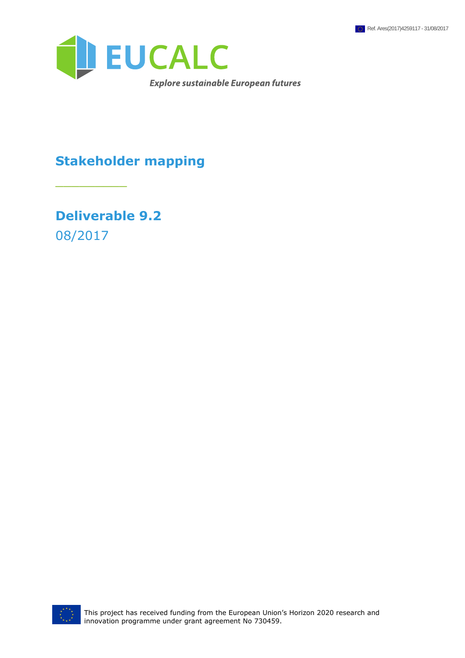

## **Stakeholder mapping**

**Deliverable 9.2** 08/2017

\_\_\_\_\_\_\_\_\_

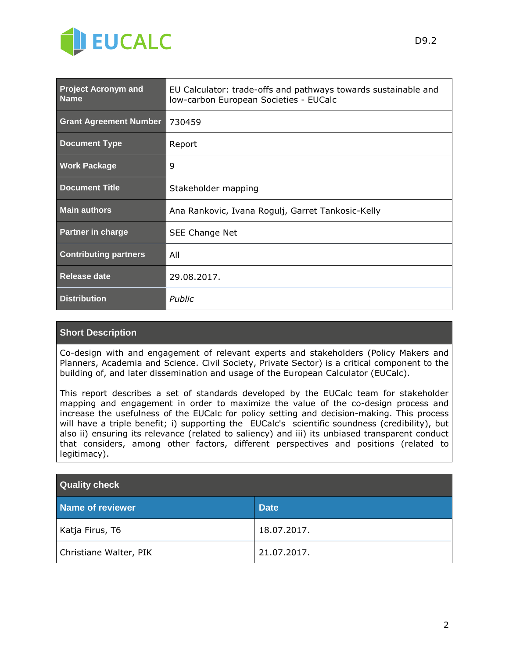

| <b>Project Acronym and</b><br><b>Name</b> | EU Calculator: trade-offs and pathways towards sustainable and<br>Iow-carbon European Societies - EUCalc |  |  |
|-------------------------------------------|----------------------------------------------------------------------------------------------------------|--|--|
| <b>Grant Agreement Number</b>             | 730459                                                                                                   |  |  |
| <b>Document Type</b>                      | Report                                                                                                   |  |  |
| <b>Work Package</b>                       | 9                                                                                                        |  |  |
| <b>Document Title</b>                     | Stakeholder mapping                                                                                      |  |  |
| <b>Main authors</b>                       | Ana Rankovic, Ivana Rogulj, Garret Tankosic-Kelly                                                        |  |  |
| <b>Partner in charge</b>                  | SEE Change Net                                                                                           |  |  |
| <b>Contributing partners</b>              | All                                                                                                      |  |  |
| Release date                              | 29.08.2017.                                                                                              |  |  |
| <b>Distribution</b>                       | Public                                                                                                   |  |  |

#### **Short Description**

Co-design with and engagement of relevant experts and stakeholders (Policy Makers and Planners, Academia and Science. Civil Society, Private Sector) is a critical component to the building of, and later dissemination and usage of the European Calculator (EUCalc).

This report describes a set of standards developed by the EUCalc team for stakeholder mapping and engagement in order to maximize the value of the co-design process and increase the usefulness of the EUCalc for policy setting and decision-making. This process will have a triple benefit; i) supporting the EUCalc's scientific soundness (credibility), but also ii) ensuring its relevance (related to saliency) and iii) its unbiased transparent conduct that considers, among other factors, different perspectives and positions (related to legitimacy).

| <b>Quality check</b>   |             |  |  |
|------------------------|-------------|--|--|
| Name of reviewer       | <b>Date</b> |  |  |
| Katja Firus, T6        | 18.07.2017. |  |  |
| Christiane Walter, PIK | 21.07.2017. |  |  |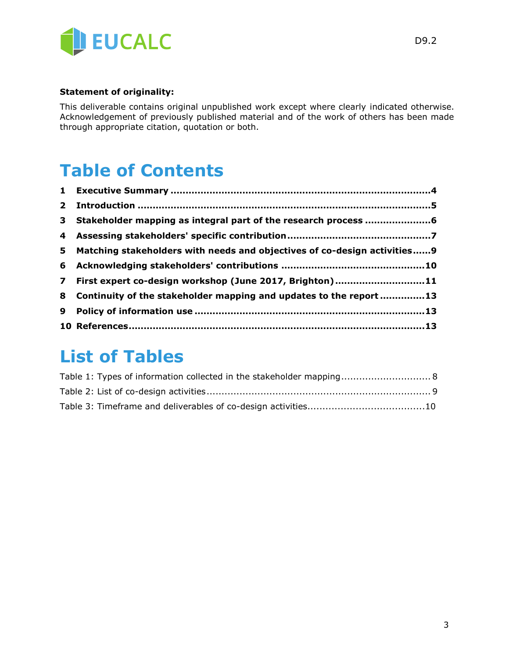

#### **Statement of originality:**

This deliverable contains original unpublished work except where clearly indicated otherwise. Acknowledgement of previously published material and of the work of others has been made through appropriate citation, quotation or both.

# **Table of Contents**

| 5.             | Matching stakeholders with needs and objectives of co-design activities9 |  |
|----------------|--------------------------------------------------------------------------|--|
| 6              |                                                                          |  |
| $\overline{7}$ | First expert co-design workshop (June 2017, Brighton)11                  |  |
|                | 8 Continuity of the stakeholder mapping and updates to the report 13     |  |
| 9              |                                                                          |  |
|                |                                                                          |  |

# **List of Tables**

| Table 1: Types of information collected in the stakeholder mapping 8 |  |
|----------------------------------------------------------------------|--|
|                                                                      |  |
|                                                                      |  |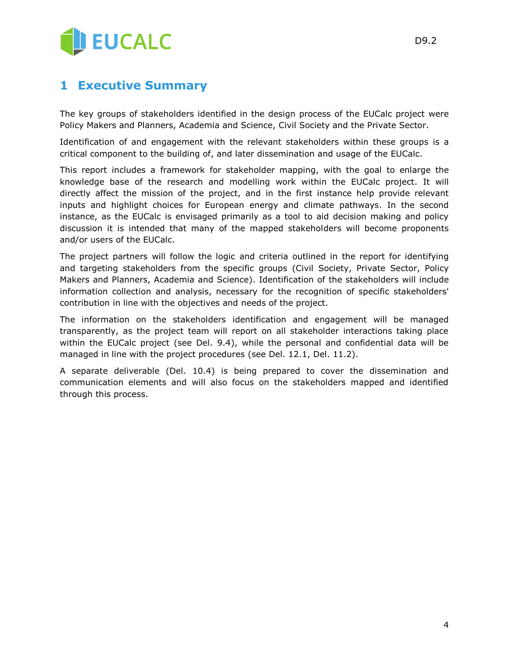

#### **1 Executive Summary**

The key groups of stakeholders identified in the design process of the EUCalc project were Policy Makers and Planners, Academia and Science, Civil Society and the Private Sector.

Identification of and engagement with the relevant stakeholders within these groups is a critical component to the building of, and later dissemination and usage of the EUCalc.

This report includes a framework for stakeholder mapping, with the goal to enlarge the knowledge base of the research and modelling work within the EUCalc project. It will directly affect the mission of the project, and in the first instance help provide relevant inputs and highlight choices for European energy and climate pathways. In the second instance, as the EUCalc is envisaged primarily as a tool to aid decision making and policy discussion it is intended that many of the mapped stakeholders will become proponents and/or users of the EUCalc.

The project partners will follow the logic and criteria outlined in the report for identifying and targeting stakeholders from the specific groups (Civil Society, Private Sector, Policy Makers and Planners, Academia and Science). Identification of the stakeholders will include information collection and analysis, necessary for the recognition of specific stakeholders' contribution in line with the objectives and needs of the project.

The information on the stakeholders identification and engagement will be managed transparently, as the project team will report on all stakeholder interactions taking place within the EUCalc project (see Del. 9.4), while the personal and confidential data will be managed in line with the project procedures (see Del. 12.1, Del. 11.2).

A separate deliverable (Del. 10.4) is being prepared to cover the dissemination and communication elements and will also focus on the stakeholders mapped and identified through this process.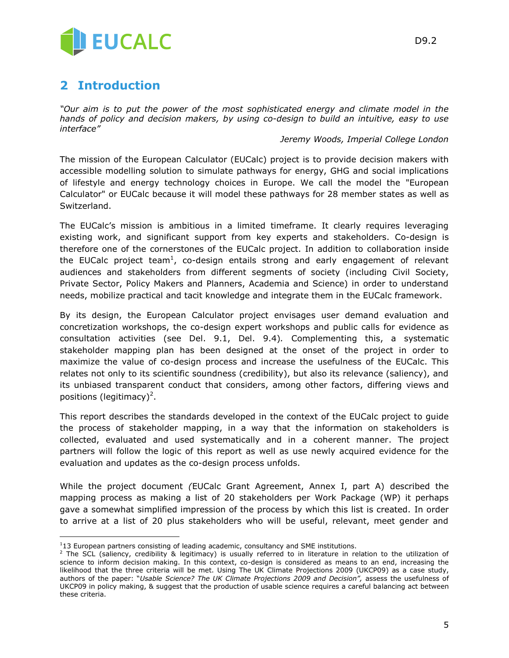

## **2 Introduction**

 $\overline{a}$ 

*"Our aim is to put the power of the most sophisticated energy and climate model in the hands of policy and decision makers, by using co-design to build an intuitive, easy to use interface"*

*Jeremy Woods, Imperial College London*

The mission of the European Calculator (EUCalc) project is to provide decision makers with accessible modelling solution to simulate pathways for energy, GHG and social implications of lifestyle and energy technology choices in Europe. We call the model the "European Calculator" or EUCalc because it will model these pathways for 28 member states as well as Switzerland.

The EUCalc's mission is ambitious in a limited timeframe. It clearly requires leveraging existing work, and significant support from key experts and stakeholders. Co-design is therefore one of the cornerstones of the EUCalc project. In addition to collaboration inside the EUCalc project team<sup>1</sup>, co-design entails strong and early engagement of relevant audiences and stakeholders from different segments of society (including Civil Society, Private Sector, Policy Makers and Planners, Academia and Science) in order to understand needs, mobilize practical and tacit knowledge and integrate them in the EUCalc framework.

By its design, the European Calculator project envisages user demand evaluation and concretization workshops, the co-design expert workshops and public calls for evidence as consultation activities (see Del. 9.1, Del. 9.4)*.* Complementing this, a systematic stakeholder mapping plan has been designed at the onset of the project in order to maximize the value of co-design process and increase the usefulness of the EUCalc. This relates not only to its scientific soundness (credibility), but also its relevance (saliency), and its unbiased transparent conduct that considers, among other factors, differing views and positions (legitimacy)<sup>2</sup>.

This report describes the standards developed in the context of the EUCalc project to guide the process of stakeholder mapping, in a way that the information on stakeholders is collected, evaluated and used systematically and in a coherent manner. The project partners will follow the logic of this report as well as use newly acquired evidence for the evaluation and updates as the co-design process unfolds.

While the project document *(*EUCalc Grant Agreement, Annex I, part A) described the mapping process as making a list of 20 stakeholders per Work Package (WP) it perhaps gave a somewhat simplified impression of the process by which this list is created. In order to arrive at a list of 20 plus stakeholders who will be useful, relevant, meet gender and

 $113$  European partners consisting of leading academic, consultancy and SME institutions.

<sup>&</sup>lt;sup>2</sup> The SCL (saliency, credibility & legitimacy) is usually referred to in literature in relation to the utilization of science to inform decision making. In this context, co-design is considered as means to an end, increasing the likelihood that the three criteria will be met. Using The UK Climate Projections 2009 (UKCP09) as a case study, authors of the paper: "Usable Science? The UK Climate Projections 2009 and Decision", assess the usefulness of UKCP09 in policy making, & suggest that the production of usable science requires a careful balancing act between these criteria.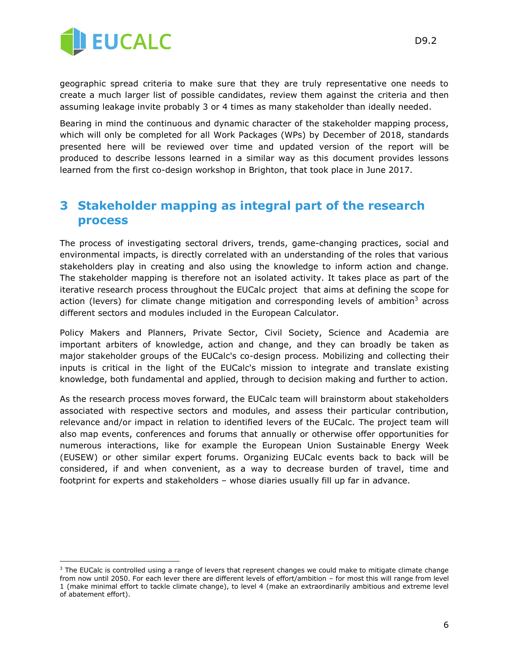

 $\overline{a}$ 

geographic spread criteria to make sure that they are truly representative one needs to create a much larger list of possible candidates, review them against the criteria and then assuming leakage invite probably 3 or 4 times as many stakeholder than ideally needed.

Bearing in mind the continuous and dynamic character of the stakeholder mapping process, which will only be completed for all Work Packages (WPs) by December of 2018, standards presented here will be reviewed over time and updated version of the report will be produced to describe lessons learned in a similar way as this document provides lessons learned from the first co-design workshop in Brighton, that took place in June 2017.

#### **3 Stakeholder mapping as integral part of the research process**

The process of investigating sectoral drivers, trends, game-changing practices, social and environmental impacts, is directly correlated with an understanding of the roles that various stakeholders play in creating and also using the knowledge to inform action and change. The stakeholder mapping is therefore not an isolated activity. It takes place as part of the iterative research process throughout the EUCalc project that aims at defining the scope for action (levers) for climate change mitigation and corresponding levels of ambition<sup>3</sup> across different sectors and modules included in the European Calculator.

Policy Makers and Planners, Private Sector, Civil Society, Science and Academia are important arbiters of knowledge, action and change, and they can broadly be taken as major stakeholder groups of the EUCalc's co-design process. Mobilizing and collecting their inputs is critical in the light of the EUCalc's mission to integrate and translate existing knowledge, both fundamental and applied, through to decision making and further to action.

As the research process moves forward, the EUCalc team will brainstorm about stakeholders associated with respective sectors and modules, and assess their particular contribution, relevance and/or impact in relation to identified levers of the EUCalc. The project team will also map events, conferences and forums that annually or otherwise offer opportunities for numerous interactions, like for example the European Union Sustainable Energy Week (EUSEW) or other similar expert forums. Organizing EUCalc events back to back will be considered, if and when convenient, as a way to decrease burden of travel, time and footprint for experts and stakeholders – whose diaries usually fill up far in advance.

<sup>&</sup>lt;sup>3</sup> The EUCalc is controlled using a range of levers that represent changes we could make to mitigate climate change from now until 2050. For each lever there are different levels of effort/ambition – for most this will range from level 1 (make minimal effort to tackle climate change), to level 4 (make an extraordinarily ambitious and extreme level of abatement effort).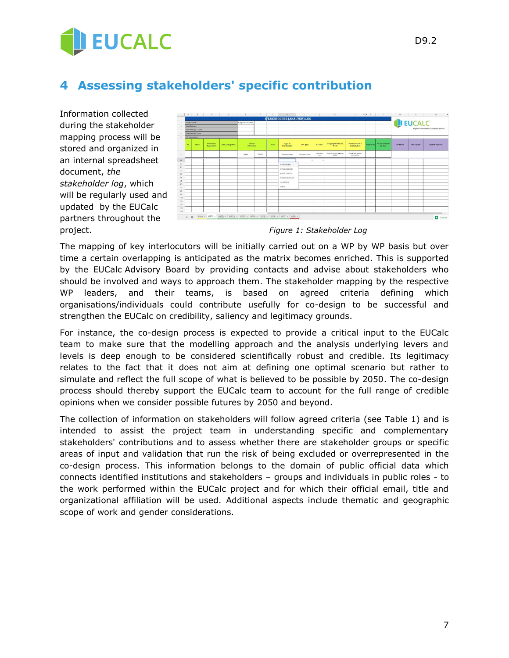

## **4 Assessing stakeholders' specific contribution**

Information collected during the stakeholder mapping process will be stored and organized in an internal spreadsheet document, *the stakeholder log*, which will be regularly used and updated by the EUCalc partners throughout the project. *Figure 1: Stakeholder Log*



The mapping of key interlocutors will be initially carried out on a WP by WP basis but over time a certain overlapping is anticipated as the matrix becomes enriched. This is supported by the EUCalc Advisory Board by providing contacts and advise about stakeholders who should be involved and ways to approach them. The stakeholder mapping by the respective WP leaders, and their teams, is based on agreed criteria defining which organisations/individuals could contribute usefully for co-design to be successful and strengthen the EUCalc on credibility, saliency and legitimacy grounds.

For instance, the co-design process is expected to provide a critical input to the EUCalc team to make sure that the modelling approach and the analysis underlying levers and levels is deep enough to be considered scientifically robust and credible. Its legitimacy relates to the fact that it does not aim at defining one optimal scenario but rather to simulate and reflect the full scope of what is believed to be possible by 2050. The co-design process should thereby support the EUCalc team to account for the full range of credible opinions when we consider possible futures by 2050 and beyond.

The collection of information on stakeholders will follow agreed criteria (see Table 1) and is intended to assist the project team in understanding specific and complementary stakeholders' contributions and to assess whether there are stakeholder groups or specific areas of input and validation that run the risk of being excluded or overrepresented in the co-design process. This information belongs to the domain of public official data which connects identified institutions and stakeholders – groups and individuals in public roles - to the work performed within the EUCalc project and for which their official email, title and organizational affiliation will be used. Additional aspects include thematic and geographic scope of work and gender considerations.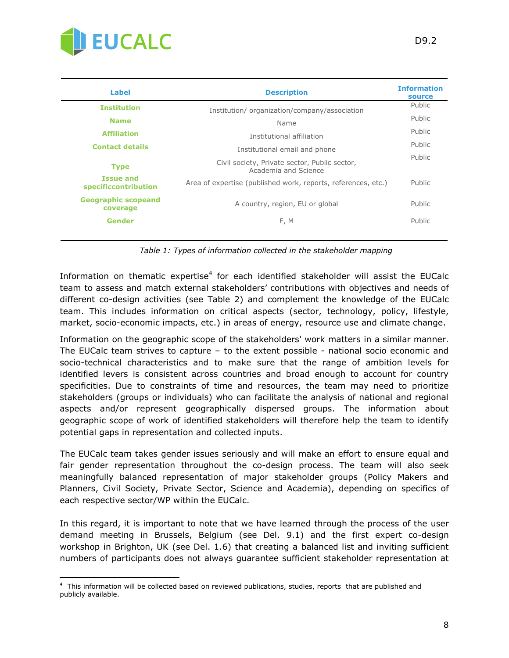

| Label                                    | <b>Description</b>                                                    | <b>Information</b><br>source |
|------------------------------------------|-----------------------------------------------------------------------|------------------------------|
| <b>Institution</b>                       | Institution/organization/company/association                          | Public                       |
| <b>Name</b>                              | Name                                                                  | Public                       |
| <b>Affiliation</b>                       | Institutional affiliation                                             | Public                       |
| <b>Contact details</b>                   | Institutional email and phone                                         | Public                       |
| <b>Type</b>                              | Civil society, Private sector, Public sector,<br>Academia and Science | Public                       |
| <b>Issue and</b><br>specificcontribution | Area of expertise (published work, reports, references, etc.)         | Public                       |
| <b>Geographic scopeand</b><br>coverage   | A country, region, EU or global                                       | Public                       |
| Gender                                   | F, M                                                                  | Public                       |
|                                          |                                                                       |                              |

*Table 1: Types of information collected in the stakeholder mapping*

Information on thematic expertise<sup>4</sup> for each identified stakeholder will assist the EUCalc team to assess and match external stakeholders' contributions with objectives and needs of different co-design activities (see Table 2) and complement the knowledge of the EUCalc team. This includes information on critical aspects (sector, technology, policy, lifestyle, market, socio-economic impacts, etc.) in areas of energy, resource use and climate change.

Information on the geographic scope of the stakeholders' work matters in a similar manner. The EUCalc team strives to capture – to the extent possible - national socio economic and socio-technical characteristics and to make sure that the range of ambition levels for identified levers is consistent across countries and broad enough to account for country specificities. Due to constraints of time and resources, the team may need to prioritize stakeholders (groups or individuals) who can facilitate the analysis of national and regional aspects and/or represent geographically dispersed groups. The information about geographic scope of work of identified stakeholders will therefore help the team to identify potential gaps in representation and collected inputs.

The EUCalc team takes gender issues seriously and will make an effort to ensure equal and fair gender representation throughout the co-design process. The team will also seek meaningfully balanced representation of major stakeholder groups (Policy Makers and Planners, Civil Society, Private Sector, Science and Academia), depending on specifics of each respective sector/WP within the EUCalc.

In this regard, it is important to note that we have learned through the process of the user demand meeting in Brussels, Belgium (see Del. 9.1) and the first expert co-design workshop in Brighton, UK (see Del. 1.6) that creating a balanced list and inviting sufficient numbers of participants does not always guarantee sufficient stakeholder representation at

 $\overline{a}$ 4 This information will be collected based on reviewed publications, studies, reports that are published and publicly available.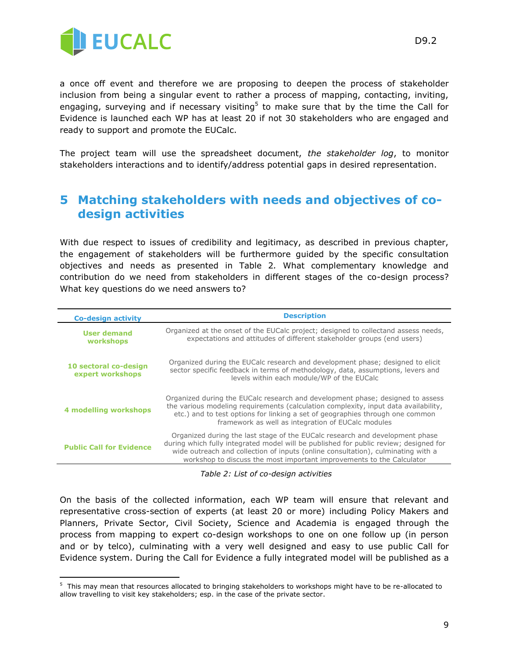

 $\overline{a}$ 

a once off event and therefore we are proposing to deepen the process of stakeholder inclusion from being a singular event to rather a process of mapping, contacting, inviting, engaging, surveying and if necessary visiting<sup>5</sup> to make sure that by the time the Call for Evidence is launched each WP has at least 20 if not 30 stakeholders who are engaged and ready to support and promote the EUCalc.

The project team will use the spreadsheet document, *the stakeholder log*, to monitor stakeholders interactions and to identify/address potential gaps in desired representation.

#### **5 Matching stakeholders with needs and objectives of codesign activities**

With due respect to issues of credibility and legitimacy, as described in previous chapter, the engagement of stakeholders will be furthermore guided by the specific consultation objectives and needs as presented in Table 2*.* What complementary knowledge and contribution do we need from stakeholders in different stages of the co-design process? What key questions do we need answers to?

| <b>Co-design activity</b>                 | <b>Description</b>                                                                                                                                                                                                                                                                                                                 |  |  |
|-------------------------------------------|------------------------------------------------------------------------------------------------------------------------------------------------------------------------------------------------------------------------------------------------------------------------------------------------------------------------------------|--|--|
| User demand<br>workshops                  | Organized at the onset of the EUCalc project; designed to collectand assess needs,<br>expectations and attitudes of different stakeholder groups (end users)                                                                                                                                                                       |  |  |
| 10 sectoral co-design<br>expert workshops | Organized during the EUCalc research and development phase; designed to elicit<br>sector specific feedback in terms of methodology, data, assumptions, levers and<br>levels within each module/WP of the EUCalc                                                                                                                    |  |  |
| <b>4 modelling workshops</b>              | Organized during the EUCalc research and development phase; designed to assess<br>the various modeling requirements (calculation complexity, input data availability,<br>etc.) and to test options for linking a set of geographies through one common<br>framework as well as integration of EUCalc modules                       |  |  |
| <b>Public Call for Evidence</b>           | Organized during the last stage of the EUCalc research and development phase<br>during which fully integrated model will be published for public review; designed for<br>wide outreach and collection of inputs (online consultation), culminating with a<br>workshop to discuss the most important improvements to the Calculator |  |  |

*Table 2: List of co-design activities*

On the basis of the collected information, each WP team will ensure that relevant and representative cross-section of experts (at least 20 or more) including Policy Makers and Planners, Private Sector, Civil Society, Science and Academia is engaged through the process from mapping to expert co-design workshops to one on one follow up (in person and or by telco), culminating with a very well designed and easy to use public Call for Evidence system. During the Call for Evidence a fully integrated model will be published as a

<sup>&</sup>lt;sup>5</sup> This may mean that resources allocated to bringing stakeholders to workshops might have to be re-allocated to allow travelling to visit key stakeholders; esp. in the case of the private sector.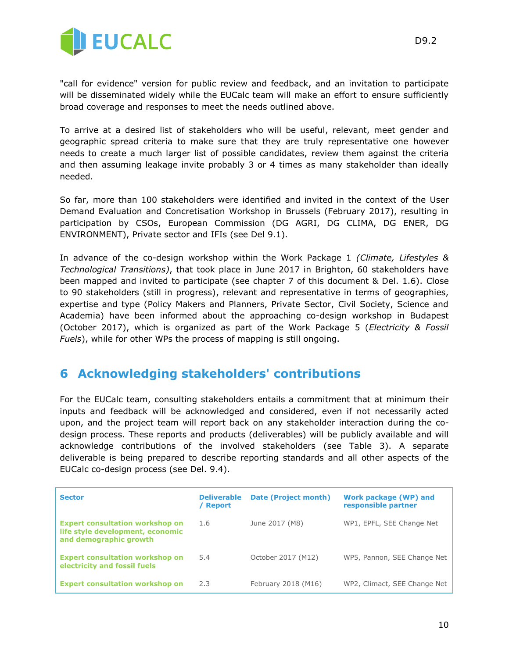

"call for evidence" version for public review and feedback, and an invitation to participate will be disseminated widely while the EUCalc team will make an effort to ensure sufficiently broad coverage and responses to meet the needs outlined above.

To arrive at a desired list of stakeholders who will be useful, relevant, meet gender and geographic spread criteria to make sure that they are truly representative one however needs to create a much larger list of possible candidates, review them against the criteria and then assuming leakage invite probably 3 or 4 times as many stakeholder than ideally needed.

So far, more than 100 stakeholders were identified and invited in the context of the User Demand Evaluation and Concretisation Workshop in Brussels (February 2017), resulting in participation by CSOs, European Commission (DG AGRI, DG CLIMA, DG ENER, DG ENVIRONMENT), Private sector and IFIs (see Del 9.1).

In advance of the co-design workshop within the Work Package 1 *(Climate, Lifestyles & Technological Transitions)*, that took place in June 2017 in Brighton, 60 stakeholders have been mapped and invited to participate (see chapter 7 of this document & Del. 1.6). Close to 90 stakeholders (still in progress), relevant and representative in terms of geographies, expertise and type (Policy Makers and Planners, Private Sector, Civil Society, Science and Academia) have been informed about the approaching co-design workshop in Budapest (October 2017), which is organized as part of the Work Package 5 (*Electricity & Fossil Fuels*), while for other WPs the process of mapping is still ongoing.

#### **6 Acknowledging stakeholders' contributions**

For the EUCalc team, consulting stakeholders entails a commitment that at minimum their inputs and feedback will be acknowledged and considered, even if not necessarily acted upon, and the project team will report back on any stakeholder interaction during the codesign process. These reports and products (deliverables) will be publicly available and will acknowledge contributions of the involved stakeholders (see Table 3). A separate deliverable is being prepared to describe reporting standards and all other aspects of the EUCalc co-design process (see Del. 9.4).

| <b>Sector</b>                                                                                        | <b>Deliverable</b><br>/ Report | Date (Project month) | Work package (WP) and<br>responsible partner |
|------------------------------------------------------------------------------------------------------|--------------------------------|----------------------|----------------------------------------------|
| <b>Expert consultation workshop on</b><br>life style development, economic<br>and demographic growth | 1.6                            | June 2017 (M8)       | WP1, EPFL, SEE Change Net                    |
| <b>Expert consultation workshop on</b><br>electricity and fossil fuels                               | 5.4                            | October 2017 (M12)   | WP5, Pannon, SEE Change Net                  |
| <b>Expert consultation workshop on</b>                                                               | 2.3                            | February 2018 (M16)  | WP2, Climact, SEE Change Net                 |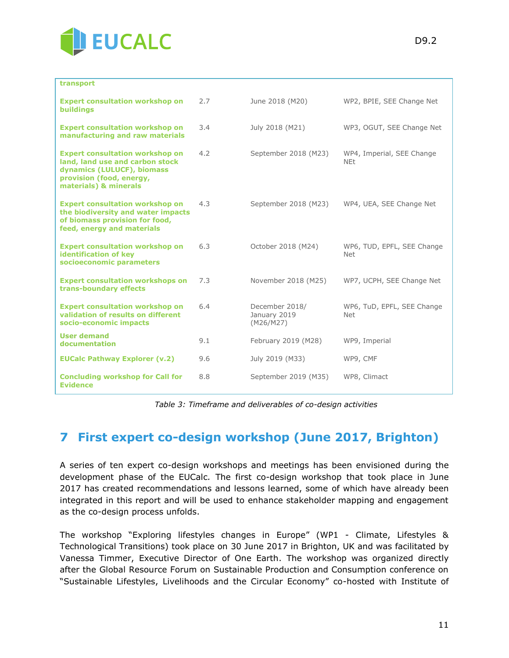

| transport                                                                                                                                                    |     |                                             |                                          |
|--------------------------------------------------------------------------------------------------------------------------------------------------------------|-----|---------------------------------------------|------------------------------------------|
| <b>Expert consultation workshop on</b><br><b>buildings</b>                                                                                                   | 2.7 | June 2018 (M20)                             | WP2, BPIE, SEE Change Net                |
| <b>Expert consultation workshop on</b><br>manufacturing and raw materials                                                                                    | 3.4 | July 2018 (M21)                             | WP3, OGUT, SEE Change Net                |
| <b>Expert consultation workshop on</b><br>land, land use and carbon stock<br>dynamics (LULUCF), biomass<br>provision (food, energy,<br>materials) & minerals | 4.2 | September 2018 (M23)                        | WP4, Imperial, SEE Change<br><b>NEt</b>  |
| <b>Expert consultation workshop on</b><br>the biodiversity and water impacts<br>of biomass provision for food,<br>feed, energy and materials                 | 4.3 | September 2018 (M23)                        | WP4, UEA, SEE Change Net                 |
| <b>Expert consultation workshop on</b><br>identification of key<br>socioeconomic parameters                                                                  | 6.3 | October 2018 (M24)                          | WP6, TUD, EPFL, SEE Change<br><b>Net</b> |
| <b>Expert consultation workshops on</b><br>trans-boundary effects                                                                                            | 7.3 | November 2018 (M25)                         | WP7, UCPH, SEE Change Net                |
| <b>Expert consultation workshop on</b><br>validation of results on different<br>socio-economic impacts                                                       | 6.4 | December 2018/<br>January 2019<br>(M26/M27) | WP6, TuD, EPFL, SEE Change<br><b>Net</b> |
| <b>User demand</b><br>documentation                                                                                                                          | 9.1 | February 2019 (M28)                         | WP9, Imperial                            |
| <b>EUCalc Pathway Explorer (v.2)</b>                                                                                                                         | 9.6 | July 2019 (M33)                             | WP9, CMF                                 |
| <b>Concluding workshop for Call for</b><br><b>Evidence</b>                                                                                                   | 8.8 | September 2019 (M35)                        | WP8, Climact                             |

*Table 3: Timeframe and deliverables of co-design activities*

#### **7 First expert co-design workshop (June 2017, Brighton)**

A series of ten expert co-design workshops and meetings has been envisioned during the development phase of the EUCalc*.* The first co-design workshop that took place in June 2017 has created recommendations and lessons learned, some of which have already been integrated in this report and will be used to enhance stakeholder mapping and engagement as the co-design process unfolds.

The workshop "Exploring lifestyles changes in Europe" (WP1 - Climate, Lifestyles & Technological Transitions) took place on 30 June 2017 in Brighton, UK and was facilitated by Vanessa Timmer, Executive Director of One Earth. The workshop was organized directly after the Global Resource Forum on Sustainable Production and Consumption conference on "Sustainable Lifestyles, Livelihoods and the Circular Economy" co-hosted with Institute of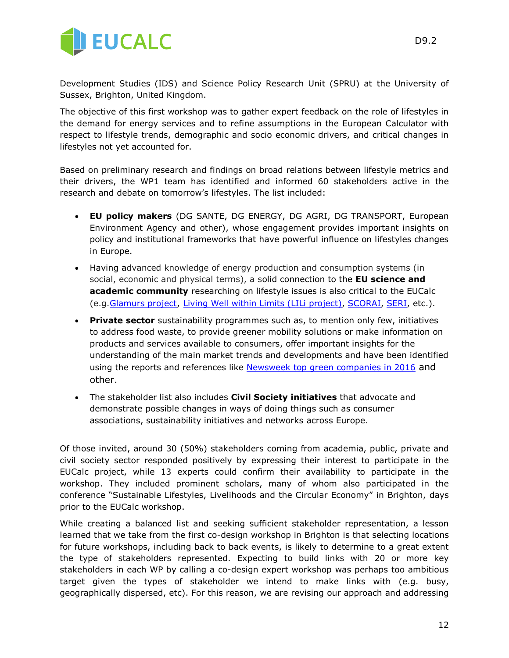

Development Studies (IDS) and Science Policy Research Unit (SPRU) at the University of Sussex, Brighton, United Kingdom.

The objective of this first workshop was to gather expert feedback on the role of lifestyles in the demand for energy services and to refine assumptions in the European Calculator with respect to lifestyle trends, demographic and socio economic drivers, and critical changes in lifestyles not yet accounted for.

Based on preliminary research and findings on broad relations between lifestyle metrics and their drivers, the WP1 team has identified and informed 60 stakeholders active in the research and debate on tomorrow's lifestyles. The list included:

- **EU policy makers** (DG SANTE, DG ENERGY, DG AGRI, DG TRANSPORT, European Environment Agency and other), whose engagement provides important insights on policy and institutional frameworks that have powerful influence on lifestyles changes in Europe.
- Having advanced knowledge of energy production and consumption systems (in social, economic and physical terms), a solid connection to the **EU science and academic community** researching on lifestyle issues is also critical to the EUCalc (e.g[.Glamurs project](http://glamurs.eu/), [Living Well within Limits \(LILi project\),](http://lili.leeds.ac.uk/) [SCORAI,](http://scorai.org/) [SERI,](http://www.seri.at/en/) etc.).
- **Private sector** sustainability programmes such as, to mention only few, initiatives to address food waste, to provide greener mobility solutions or make information on products and services available to consumers, offer important insights for the understanding of the main market trends and developments and have been identified using the reports and references like [Newsweek top green companies in 2016](http://www.newsweek.com/green-2016/top-green-companies-world-2016) and other.
- The stakeholder list also includes **Civil Society initiatives** that advocate and demonstrate possible changes in ways of doing things such as consumer associations, sustainability initiatives and networks across Europe.

Of those invited, around 30 (50%) stakeholders coming from academia, public, private and civil society sector responded positively by expressing their interest to participate in the EUCalc project, while 13 experts could confirm their availability to participate in the workshop. They included prominent scholars, many of whom also participated in the conference "Sustainable Lifestyles, Livelihoods and the Circular Economy" in Brighton, days prior to the EUCalc workshop.

While creating a balanced list and seeking sufficient stakeholder representation, a lesson learned that we take from the first co-design workshop in Brighton is that selecting locations for future workshops, including back to back events, is likely to determine to a great extent the type of stakeholders represented. Expecting to build links with 20 or more key stakeholders in each WP by calling a co-design expert workshop was perhaps too ambitious target given the types of stakeholder we intend to make links with (e.g. busy, geographically dispersed, etc). For this reason, we are revising our approach and addressing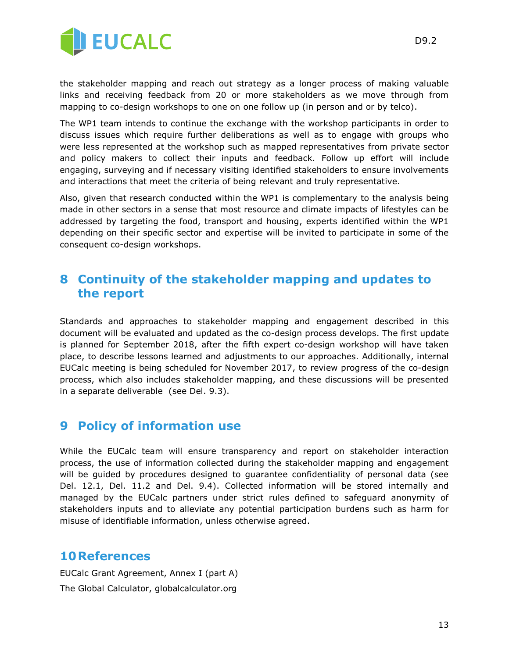

D9.2

the stakeholder mapping and reach out strategy as a longer process of making valuable links and receiving feedback from 20 or more stakeholders as we move through from mapping to co-design workshops to one on one follow up (in person and or by telco).

The WP1 team intends to continue the exchange with the workshop participants in order to discuss issues which require further deliberations as well as to engage with groups who were less represented at the workshop such as mapped representatives from private sector and policy makers to collect their inputs and feedback. Follow up effort will include engaging, surveying and if necessary visiting identified stakeholders to ensure involvements and interactions that meet the criteria of being relevant and truly representative.

Also, given that research conducted within the WP1 is complementary to the analysis being made in other sectors in a sense that most resource and climate impacts of lifestyles can be addressed by targeting the food, transport and housing, experts identified within the WP1 depending on their specific sector and expertise will be invited to participate in some of the consequent co-design workshops.

#### **8 Continuity of the stakeholder mapping and updates to the report**

Standards and approaches to stakeholder mapping and engagement described in this document will be evaluated and updated as the co-design process develops. The first update is planned for September 2018, after the fifth expert co-design workshop will have taken place, to describe lessons learned and adjustments to our approaches. Additionally, internal EUCalc meeting is being scheduled for November 2017, to review progress of the co-design process, which also includes stakeholder mapping, and these discussions will be presented in a separate deliverable (see Del. 9.3).

#### **9 Policy of information use**

While the EUCalc team will ensure transparency and report on stakeholder interaction process, the use of information collected during the stakeholder mapping and engagement will be guided by procedures designed to guarantee confidentiality of personal data (see Del. 12.1, Del. 11.2 and Del. 9.4). Collected information will be stored internally and managed by the EUCalc partners under strict rules defined to safeguard anonymity of stakeholders inputs and to alleviate any potential participation burdens such as harm for misuse of identifiable information, unless otherwise agreed.

#### **10References**

EUCalc Grant Agreement, Annex I (part A) The Global Calculator, globalcalculator.org